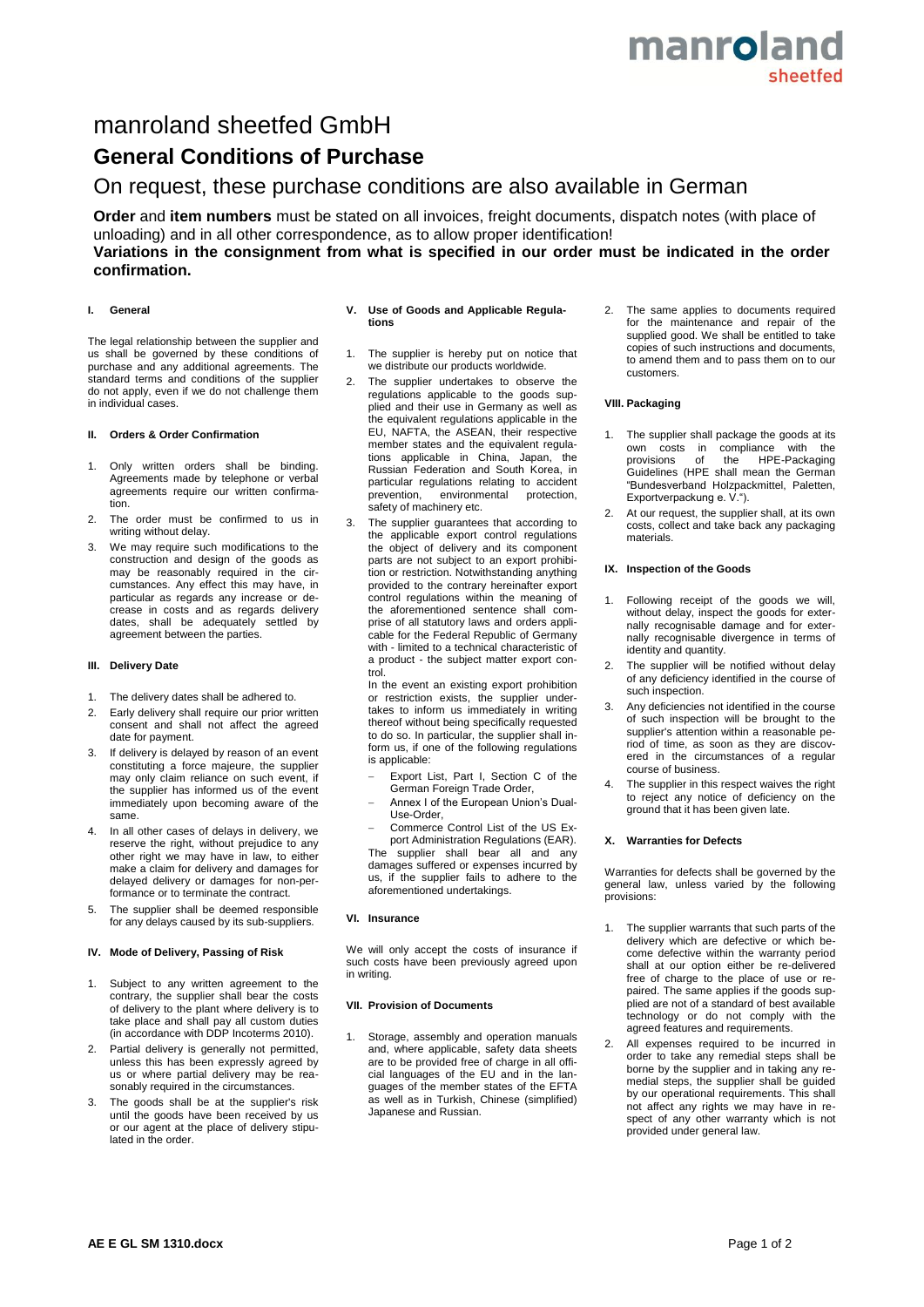# manroland sheetfer

# manroland sheetfed GmbH

# **General Conditions of Purchase**

# On request, these purchase conditions are also available in German

**Order** and **item numbers** must be stated on all invoices, freight documents, dispatch notes (with place of unloading) and in all other correspondence, as to allow proper identification! **Variations in the consignment from what is specified in our order must be indicated in the order confirmation.** 

# **I. General**

The legal relationship between the supplier and us shall be governed by these conditions of purchase and any additional agreements. The standard terms and conditions of the supplier do not apply, even if we do not challenge them in individual cases.

# **II. Orders & Order Confirmation**

- 1. Only written orders shall be binding. Agreements made by telephone or verbal agreements require our written confirmation.
- 2. The order must be confirmed to us in writing without delay.
- 3. We may require such modifications to the construction and design of the goods as may be reasonably required in the circumstances. Any effect this may have, in particular as regards any increase or decrease in costs and as regards delivery dates, shall be adequately settled by agreement between the parties.

### **III. Delivery Date**

- 1. The delivery dates shall be adhered to.
- 2. Early delivery shall require our prior written consent and shall not affect the agreed date for payment.
- 3. If delivery is delayed by reason of an event constituting a force majeure, the supplier may only claim reliance on such event, if the supplier has informed us of the event immediately upon becoming aware of the same.
- 4. In all other cases of delays in delivery, we reserve the right, without prejudice to any other right we may have in law, to either make a claim for delivery and damages for delayed delivery or damages for non-performance or to terminate the contract.
- 5. The supplier shall be deemed responsible for any delays caused by its sub-suppliers.

### **IV. Mode of Delivery, Passing of Risk**

- 1. Subject to any written agreement to the contrary, the supplier shall bear the costs of delivery to the plant where delivery is to take place and shall pay all custom duties (in accordance with DDP Incoterms 2010).
- 2. Partial delivery is generally not permitted, unless this has been expressly agreed by us or where partial delivery may be reasonably required in the circumstances.
- 3. The goods shall be at the supplier's risk until the goods have been received by us or our agent at the place of delivery stipulated in the order.

### **V. Use of Goods and Applicable Regulations**

- 1. The supplier is hereby put on notice that we distribute our products worldwide.
- 2. The supplier undertakes to observe the regulations applicable to the goods supplied and their use in Germany as well as the equivalent regulations applicable in the EU, NAFTA, the ASEAN, their respective member states and the equivalent regulations applicable in China, Japan, the Russian Federation and South Korea, in particular regulations relating to accident<br>prevention, environmental protection, environmental safety of machinery etc.
- The supplier guarantees that according to the applicable export control regulations the object of delivery and its component parts are not subject to an export prohibition or restriction. Notwithstanding anything provided to the contrary hereinafter export control regulations within the meaning of the aforementioned sentence shall comprise of all statutory laws and orders applicable for the Federal Republic of Germany with - limited to a technical characteristic of a product - the subject matter export control.

In the event an existing export prohibition or restriction exists, the supplier undertakes to inform us immediately in writing thereof without being specifically requested to do so. In particular, the supplier shall inform us, if one of the following regulations is applicable:

- Export List, Part I, Section C of the German Foreign Trade Order,
- Annex I of the European Union's Dual-Use-Order,

 Commerce Control List of the US Export Administration Regulations (EAR). The supplier shall bear all and any damages suffered or expenses incurred by us, if the supplier fails to adhere to the aforementioned undertakings.

# **VI. Insurance**

We will only accept the costs of insurance if such costs have been previously agreed upon in writing.

# **VII. Provision of Documents**

Storage, assembly and operation manuals and, where applicable, safety data sheets are to be provided free of charge in all official languages of the EU and in the languages of the member states of the EFTA as well as in Turkish, Chinese (simplified) Japanese and Russian.

2. The same applies to documents required for the maintenance and repair of the supplied good. We shall be entitled to take copies of such instructions and documents, to amend them and to pass them on to our customers.

### **VIII. Packaging**

- 1. The supplier shall package the goods at its own costs in compliance with the provisions of the HPE-Packaging Guidelines (HPE shall mean the German "Bundesverband Holzpackmittel, Paletten, Exportverpackung e. V.").
- At our request, the supplier shall, at its own costs, collect and take back any packaging materials.

### **IX. Inspection of the Goods**

- Following receipt of the goods we will, without delay, inspect the goods for externally recognisable damage and for externally recognisable divergence in terms of identity and quantity.
- 2. The supplier will be notified without delay of any deficiency identified in the course of such inspection.
- Any deficiencies not identified in the course of such inspection will be brought to the supplier's attention within a reasonable period of time, as soon as they are discovered in the circumstances of a regular course of business.
- 4. The supplier in this respect waives the right to reject any notice of deficiency on the ground that it has been given late.

### **X. Warranties for Defects**

Warranties for defects shall be governed by the general law, unless varied by the following provisions:

- 1. The supplier warrants that such parts of the delivery which are defective or which become defective within the warranty period shall at our option either be re-delivered free of charge to the place of use or repaired. The same applies if the goods supplied are not of a standard of best available technology or do not comply with the agreed features and requirements.
- All expenses required to be incurred in order to take any remedial steps shall be borne by the supplier and in taking any remedial steps, the supplier shall be guided by our operational requirements. This shall not affect any rights we may have in respect of any other warranty which is not provided under general law.